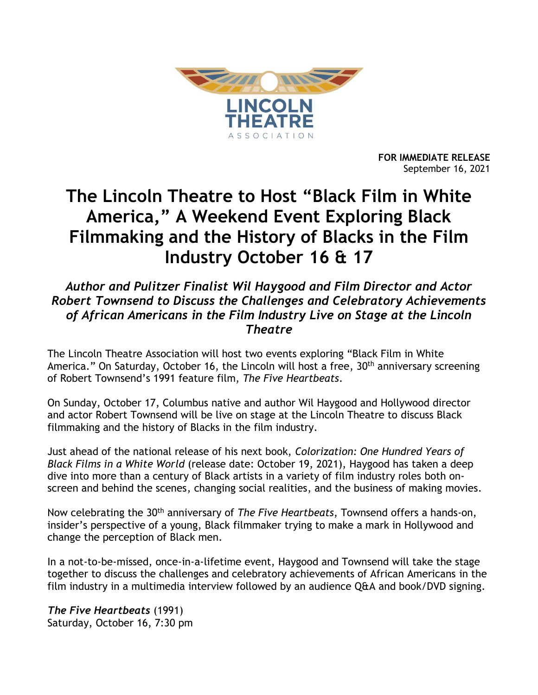

**FOR IMMEDIATE RELEASE** September 16, 2021

# **The Lincoln Theatre to Host "Black Film in White America," A Weekend Event Exploring Black Filmmaking and the History of Blacks in the Film Industry October 16 & 17**

## *Author and Pulitzer Finalist Wil Haygood and Film Director and Actor Robert Townsend to Discuss the Challenges and Celebratory Achievements of African Americans in the Film Industry Live on Stage at the Lincoln Theatre*

The Lincoln Theatre Association will host two events exploring "Black Film in White America." On Saturday, October 16, the Lincoln will host a free, 30<sup>th</sup> anniversary screening of Robert Townsend's 1991 feature film, *The Five Heartbeats*.

On Sunday, October 17, Columbus native and author Wil Haygood and Hollywood director and actor Robert Townsend will be live on stage at the Lincoln Theatre to discuss Black filmmaking and the history of Blacks in the film industry.

Just ahead of the national release of his next book, *Colorization: One Hundred Years of Black Films in a White World* (release date: October 19, 2021), Haygood has taken a deep dive into more than a century of Black artists in a variety of film industry roles both onscreen and behind the scenes, changing social realities, and the business of making movies.

Now celebrating the 30th anniversary of *The Five Heartbeats*, Townsend offers a hands-on, insider's perspective of a young, Black filmmaker trying to make a mark in Hollywood and change the perception of Black men.

In a not-to-be-missed, once-in-a-lifetime event, Haygood and Townsend will take the stage together to discuss the challenges and celebratory achievements of African Americans in the film industry in a multimedia interview followed by an audience Q&A and book/DVD signing.

*The Five Heartbeats* (1991) Saturday, October 16, 7:30 pm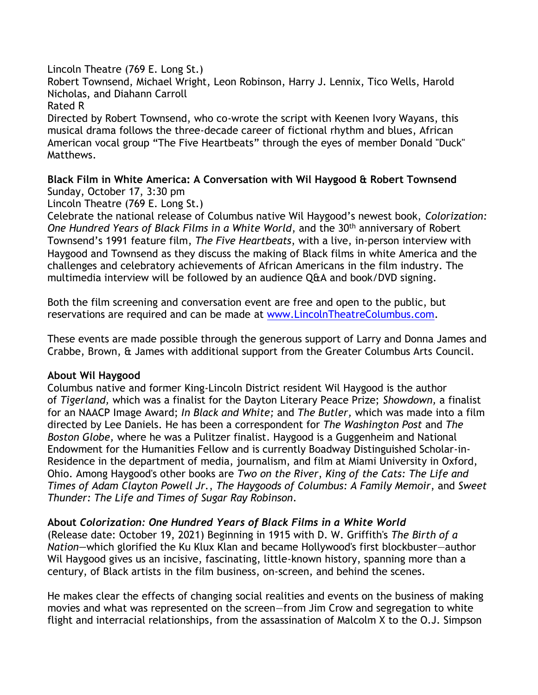Lincoln Theatre (769 E. Long St.)

Robert Townsend, Michael Wright, Leon Robinson, Harry J. Lennix, Tico Wells, Harold Nicholas, and Diahann Carroll

Rated R

Directed by Robert Townsend, who co-wrote the script with Keenen Ivory Wayans, this musical drama follows the three-decade career of fictional rhythm and blues, African American vocal group "The Five Heartbeats" through the eyes of member Donald "Duck" Matthews.

**Black Film in White America: A Conversation with Wil Haygood & Robert Townsend** Sunday, October 17, 3:30 pm

Lincoln Theatre (769 E. Long St.)

Celebrate the national release of Columbus native Wil Haygood's newest book, *Colorization: One Hundred Years of Black Films in a White World*, and the 30th anniversary of Robert Townsend's 1991 feature film, *The Five Heartbeats*, with a live, in-person interview with Haygood and Townsend as they discuss the making of Black films in white America and the challenges and celebratory achievements of African Americans in the film industry. The multimedia interview will be followed by an audience Q&A and book/DVD signing.

Both the film screening and conversation event are free and open to the public, but reservations are required and can be made at [www.LincolnTheatreColumbus.com.](http://www.lincolntheatrecolumbus.com/)

These events are made possible through the generous support of Larry and Donna James and Crabbe, Brown, & James with additional support from the Greater Columbus Arts Council.

#### **About Wil Haygood**

Columbus native and former King-Lincoln District resident Wil Haygood is the author of *Tigerland,* which was a finalist for the Dayton Literary Peace Prize; *Showdown,* a finalist for an NAACP Image Award; *In Black and White;* and *The Butler,* which was made into a film directed by Lee Daniels. He has been a correspondent for *The Washington Post* and *The Boston Globe,* where he was a Pulitzer finalist. Haygood is a Guggenheim and National Endowment for the Humanities Fellow and is currently Boadway Distinguished Scholar-in-Residence in the department of media, journalism, and film at Miami University in Oxford, Ohio. Among Haygood's other books are *Two on the River*, *King of the Cats: The Life and Times of Adam Clayton Powell Jr.*, *The Haygoods of Columbus: A Family Memoir*, and *Sweet Thunder: The Life and Times of Sugar Ray Robinson*.

### **About** *Colorization: One Hundred Years of Black Films in a White World*

(Release date: October 19, 2021) Beginning in 1915 with D. W. Griffith's *The Birth of a Nation—*which glorified the Ku Klux Klan and became Hollywood's first blockbuster—author Wil Haygood gives us an incisive, fascinating, little-known history, spanning more than a century, of Black artists in the film business, on-screen, and behind the scenes.

He makes clear the effects of changing social realities and events on the business of making movies and what was represented on the screen—from Jim Crow and segregation to white flight and interracial relationships, from the assassination of Malcolm X to the O.J. Simpson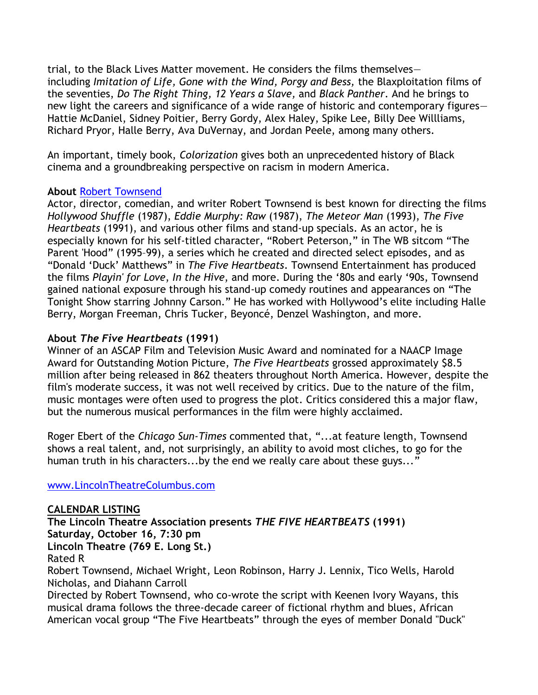trial, to the Black Lives Matter movement. He considers the films themselves including *Imitation of Life, Gone with the Wind, Porgy and Bess,* the Blaxploitation films of the seventies, *Do The Right Thing, 12 Years a Slave,* and *Black Panther*. And he brings to new light the careers and significance of a wide range of historic and contemporary figures— Hattie McDaniel, Sidney Poitier, Berry Gordy, Alex Haley, Spike Lee, Billy Dee Willliams, Richard Pryor, Halle Berry, Ava DuVernay, and Jordan Peele, among many others.

An important, timely book, *Colorization* gives both an unprecedented history of Black cinema and a groundbreaking perspective on racism in modern America.

#### **About** [Robert Townsend](https://www.roberttownsend.com/)

Actor, director, comedian, and writer Robert Townsend is best known for directing the films *Hollywood Shuffle* (1987), *Eddie Murphy: Raw* (1987), *The Meteor Man* (1993), *The Five Heartbeats* (1991), and various other films and stand-up specials. As an actor, he is especially known for his self-titled character, "Robert Peterson," in The WB sitcom "The Parent 'Hood" (1995–99), a series which he created and directed select episodes, and as "Donald 'Duck' Matthews" in *The Five Heartbeats*. Townsend Entertainment has produced the films *Playin' for Love*, *In the Hive*, and more. During the '80s and early '90s, Townsend gained national exposure through his stand-up comedy routines and appearances on "The Tonight Show starring Johnny Carson." He has worked with Hollywood's elite including Halle Berry, Morgan Freeman, Chris Tucker, Beyoncé, Denzel Washington, and more.

#### **About** *The Five Heartbeats* **(1991)**

Winner of an ASCAP Film and Television Music Award and nominated for a NAACP Image Award for Outstanding Motion Picture, *The Five Heartbeats* grossed approximately \$8.5 million after being released in 862 theaters throughout North America. However, despite the film's moderate success, it was not well received by critics. Due to the nature of the film, music montages were often used to progress the plot. Critics considered this a major flaw, but the numerous musical performances in the film were highly acclaimed.

Roger Ebert of the *Chicago Sun-Times* commented that, "...at feature length, Townsend shows a real talent, and, not surprisingly, an ability to avoid most cliches, to go for the human truth in his characters...by the end we really care about these guys..."

#### [www.LincolnTheatreColumbus.com](http://www.lincolntheatrecolumbus.com/)

**CALENDAR LISTING The Lincoln Theatre Association presents** *THE FIVE HEARTBEATS* **(1991) Saturday, October 16, 7:30 pm Lincoln Theatre (769 E. Long St.)** Rated R Robert Townsend, Michael Wright, Leon Robinson, Harry J. Lennix, Tico Wells, Harold Nicholas, and Diahann Carroll Directed by Robert Townsend, who co-wrote the script with Keenen Ivory Wayans, this musical drama follows the three-decade career of fictional rhythm and blues, African

American vocal group "The Five Heartbeats" through the eyes of member Donald "Duck"